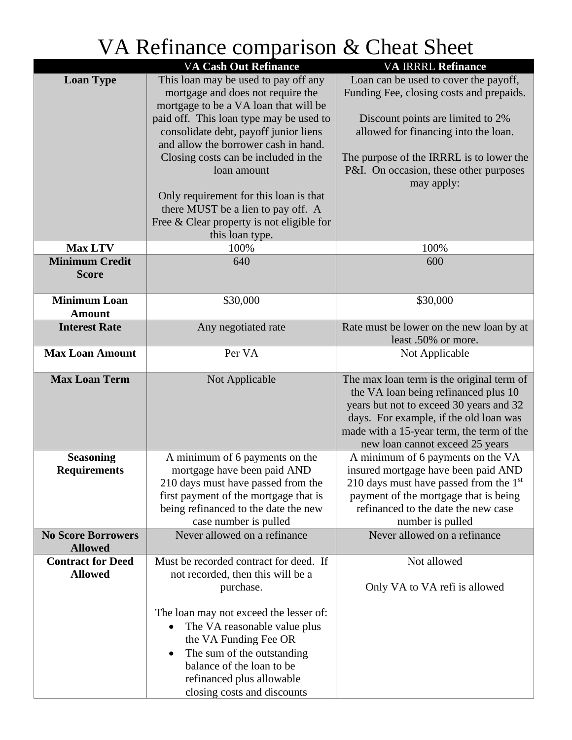|                                             | <b>VA Cash Out Refinance</b>                                                     | <b>VA IRRRL Refinance</b>                                                    |
|---------------------------------------------|----------------------------------------------------------------------------------|------------------------------------------------------------------------------|
| <b>Loan Type</b>                            | This loan may be used to pay off any                                             | Loan can be used to cover the payoff,                                        |
|                                             | mortgage and does not require the                                                | Funding Fee, closing costs and prepaids.                                     |
|                                             | mortgage to be a VA loan that will be<br>paid off. This loan type may be used to |                                                                              |
|                                             | consolidate debt, payoff junior liens                                            | Discount points are limited to 2%<br>allowed for financing into the loan.    |
|                                             | and allow the borrower cash in hand.                                             |                                                                              |
|                                             | Closing costs can be included in the                                             | The purpose of the IRRRL is to lower the                                     |
|                                             | loan amount                                                                      | P&I. On occasion, these other purposes                                       |
|                                             |                                                                                  | may apply:                                                                   |
|                                             | Only requirement for this loan is that                                           |                                                                              |
|                                             | there MUST be a lien to pay off. A                                               |                                                                              |
|                                             | Free $& Clear$ property is not eligible for                                      |                                                                              |
| <b>Max LTV</b>                              | this loan type.<br>100%                                                          | 100%                                                                         |
| <b>Minimum Credit</b>                       | 640                                                                              | 600                                                                          |
| <b>Score</b>                                |                                                                                  |                                                                              |
|                                             |                                                                                  |                                                                              |
| <b>Minimum Loan</b>                         | \$30,000                                                                         | \$30,000                                                                     |
| <b>Amount</b>                               |                                                                                  |                                                                              |
| <b>Interest Rate</b>                        | Any negotiated rate                                                              | Rate must be lower on the new loan by at                                     |
|                                             |                                                                                  | least .50% or more.                                                          |
| <b>Max Loan Amount</b>                      | Per VA                                                                           | Not Applicable                                                               |
| <b>Max Loan Term</b>                        | Not Applicable                                                                   | The max loan term is the original term of                                    |
|                                             |                                                                                  | the VA loan being refinanced plus 10                                         |
|                                             |                                                                                  | years but not to exceed 30 years and 32                                      |
|                                             |                                                                                  | days. For example, if the old loan was                                       |
|                                             |                                                                                  | made with a 15-year term, the term of the<br>new loan cannot exceed 25 years |
| <b>Seasoning</b>                            | A minimum of 6 payments on the                                                   | A minimum of 6 payments on the VA                                            |
| <b>Requirements</b>                         | mortgage have been paid AND                                                      | insured mortgage have been paid AND                                          |
|                                             | 210 days must have passed from the                                               | 210 days must have passed from the $1st$                                     |
|                                             | first payment of the mortgage that is                                            | payment of the mortgage that is being                                        |
|                                             | being refinanced to the date the new                                             | refinanced to the date the new case                                          |
|                                             | case number is pulled                                                            | number is pulled                                                             |
| <b>No Score Borrowers</b><br><b>Allowed</b> | Never allowed on a refinance                                                     | Never allowed on a refinance                                                 |
| <b>Contract for Deed</b>                    | Must be recorded contract for deed. If                                           | Not allowed                                                                  |
| <b>Allowed</b>                              | not recorded, then this will be a                                                |                                                                              |
|                                             | purchase.                                                                        | Only VA to VA refi is allowed                                                |
|                                             |                                                                                  |                                                                              |
|                                             | The loan may not exceed the lesser of:                                           |                                                                              |
|                                             | The VA reasonable value plus<br>$\bullet$<br>the VA Funding Fee OR               |                                                                              |
|                                             | The sum of the outstanding<br>$\bullet$                                          |                                                                              |
|                                             | balance of the loan to be                                                        |                                                                              |
|                                             | refinanced plus allowable                                                        |                                                                              |
|                                             | closing costs and discounts                                                      |                                                                              |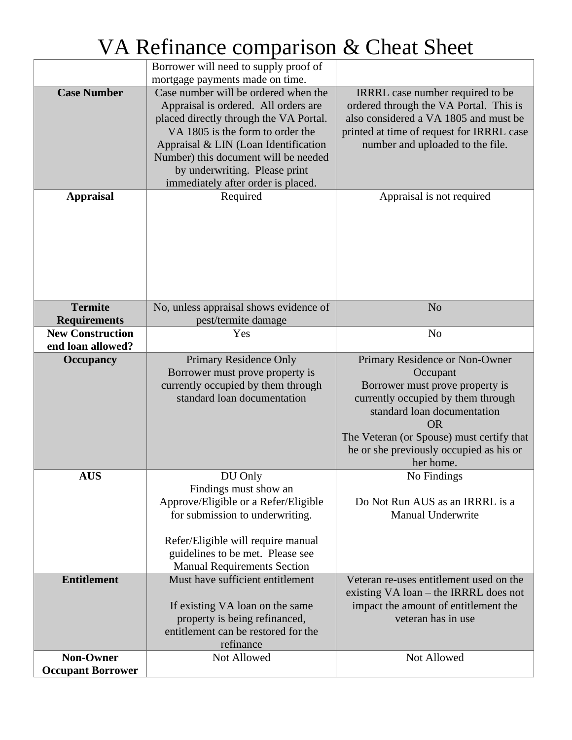|                                              | Borrower will need to supply proof of<br>mortgage payments made on time.                                                                                                                                                                                                                                          |                                                                                                                                                                                                                                                                      |
|----------------------------------------------|-------------------------------------------------------------------------------------------------------------------------------------------------------------------------------------------------------------------------------------------------------------------------------------------------------------------|----------------------------------------------------------------------------------------------------------------------------------------------------------------------------------------------------------------------------------------------------------------------|
| <b>Case Number</b>                           | Case number will be ordered when the<br>Appraisal is ordered. All orders are<br>placed directly through the VA Portal.<br>VA 1805 is the form to order the<br>Appraisal & LIN (Loan Identification<br>Number) this document will be needed<br>by underwriting. Please print<br>immediately after order is placed. | IRRRL case number required to be<br>ordered through the VA Portal. This is<br>also considered a VA 1805 and must be<br>printed at time of request for IRRRL case<br>number and uploaded to the file.                                                                 |
| <b>Appraisal</b>                             | Required                                                                                                                                                                                                                                                                                                          | Appraisal is not required                                                                                                                                                                                                                                            |
| <b>Termite</b><br><b>Requirements</b>        | No, unless appraisal shows evidence of<br>pest/termite damage                                                                                                                                                                                                                                                     | N <sub>o</sub>                                                                                                                                                                                                                                                       |
| <b>New Construction</b>                      | Yes                                                                                                                                                                                                                                                                                                               | N <sub>o</sub>                                                                                                                                                                                                                                                       |
| end loan allowed?                            |                                                                                                                                                                                                                                                                                                                   |                                                                                                                                                                                                                                                                      |
| <b>Occupancy</b>                             | Primary Residence Only<br>Borrower must prove property is<br>currently occupied by them through<br>standard loan documentation                                                                                                                                                                                    | Primary Residence or Non-Owner<br>Occupant<br>Borrower must prove property is<br>currently occupied by them through<br>standard loan documentation<br><b>OR</b><br>The Veteran (or Spouse) must certify that<br>he or she previously occupied as his or<br>her home. |
| <b>AUS</b><br><b>Entitlement</b>             | DU Only<br>Findings must show an<br>Approve/Eligible or a Refer/Eligible<br>for submission to underwriting.<br>Refer/Eligible will require manual<br>guidelines to be met. Please see<br><b>Manual Requirements Section</b><br>Must have sufficient entitlement                                                   | No Findings<br>Do Not Run AUS as an IRRRL is a<br>Manual Underwrite<br>Veteran re-uses entitlement used on the<br>existing VA loan – the IRRRL does not                                                                                                              |
|                                              | If existing VA loan on the same<br>property is being refinanced,<br>entitlement can be restored for the<br>refinance                                                                                                                                                                                              | impact the amount of entitlement the<br>veteran has in use                                                                                                                                                                                                           |
| <b>Non-Owner</b><br><b>Occupant Borrower</b> | Not Allowed                                                                                                                                                                                                                                                                                                       | Not Allowed                                                                                                                                                                                                                                                          |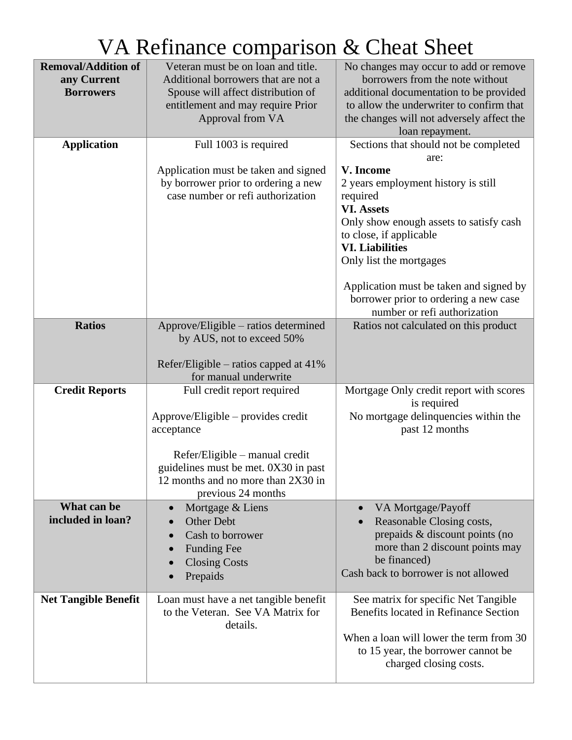| <b>Removal/Addition of</b><br>any Current<br><b>Borrowers</b><br><b>Application</b> | Veteran must be on loan and title.<br>Additional borrowers that are not a<br>Spouse will affect distribution of<br>entitlement and may require Prior<br>Approval from VA<br>Full 1003 is required<br>Application must be taken and signed<br>by borrower prior to ordering a new<br>case number or refi authorization | No changes may occur to add or remove<br>borrowers from the note without<br>additional documentation to be provided<br>to allow the underwriter to confirm that<br>the changes will not adversely affect the<br>loan repayment.<br>Sections that should not be completed<br>are:<br>V. Income<br>2 years employment history is still<br>required<br><b>VI. Assets</b><br>Only show enough assets to satisfy cash<br>to close, if applicable<br><b>VI.</b> Liabilities |
|-------------------------------------------------------------------------------------|-----------------------------------------------------------------------------------------------------------------------------------------------------------------------------------------------------------------------------------------------------------------------------------------------------------------------|-----------------------------------------------------------------------------------------------------------------------------------------------------------------------------------------------------------------------------------------------------------------------------------------------------------------------------------------------------------------------------------------------------------------------------------------------------------------------|
|                                                                                     |                                                                                                                                                                                                                                                                                                                       | Only list the mortgages<br>Application must be taken and signed by<br>borrower prior to ordering a new case<br>number or refi authorization                                                                                                                                                                                                                                                                                                                           |
| <b>Ratios</b>                                                                       | Approve/Eligible – ratios determined<br>by AUS, not to exceed 50%<br>Refer/Eligible – ratios capped at $41\%$<br>for manual underwrite                                                                                                                                                                                | Ratios not calculated on this product                                                                                                                                                                                                                                                                                                                                                                                                                                 |
| <b>Credit Reports</b>                                                               | Full credit report required<br>Approve/Eligible – provides credit<br>acceptance<br>Refer/Eligible – manual credit<br>guidelines must be met. 0X30 in past<br>12 months and no more than 2X30 in<br>previous 24 months                                                                                                 | Mortgage Only credit report with scores<br>is required<br>No mortgage delinquencies within the<br>past 12 months                                                                                                                                                                                                                                                                                                                                                      |
| What can be<br>included in loan?                                                    | Mortgage & Liens<br>$\bullet$<br>Other Debt<br>Cash to borrower<br><b>Funding Fee</b><br><b>Closing Costs</b><br>Prepaids                                                                                                                                                                                             | VA Mortgage/Payoff<br>Reasonable Closing costs,<br>prepaids & discount points (no<br>more than 2 discount points may<br>be financed)<br>Cash back to borrower is not allowed                                                                                                                                                                                                                                                                                          |
| <b>Net Tangible Benefit</b>                                                         | Loan must have a net tangible benefit<br>to the Veteran. See VA Matrix for<br>details.                                                                                                                                                                                                                                | See matrix for specific Net Tangible<br>Benefits located in Refinance Section<br>When a loan will lower the term from 30<br>to 15 year, the borrower cannot be<br>charged closing costs.                                                                                                                                                                                                                                                                              |